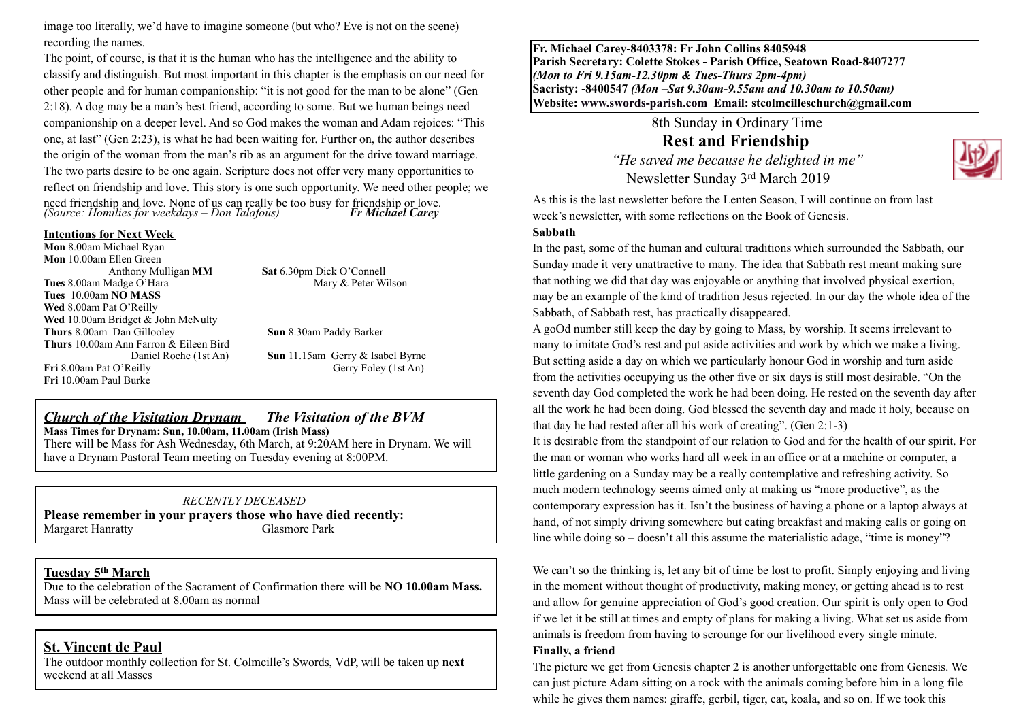image too literally, we'd have to imagine someone (but who? Eve is not on the scene) recording the names.

The point, of course, is that it is the human who has the intelligence and the ability to classify and distinguish. But most important in this chapter is the emphasis on our need for other people and for human companionship: "it is not good for the man to be alone" (Gen 2:18). A dog may be a man's best friend, according to some. But we human beings need companionship on a deeper level. And so God makes the woman and Adam rejoices: "This one, at last" (Gen 2:23), is what he had been waiting for. Further on, the author describes the origin of the woman from the man's rib as an argument for the drive toward marriage. The two parts desire to be one again. Scripture does not offer very many opportunities to reflect on friendship and love. This story is one such opportunity. We need other people; we need friendship and love. None of us can really be too busy for friendship or love. *(Source: Homilies for weekdays – Don Talafous) Fr Michael Carey* **Intentions for Next Week**

**Mon** 8.00am Michael Ryan **Mon** 10.00am Ellen Green Anthony Mulligan **MM Sat** 6.30pm Dick O'Connell **Tues 8.00am Madge O'Hara** Mary & Peter Wilson **Tues** 10.00am **NO MASS Wed** 8.00am Pat O'Reilly Wed 10.00am Bridget & John McNulty **Thurs** 8.00am Dan Gillooley **Sun** 8.30am Paddy Barker **Thurs** 10.00am Ann Farron & Eileen Bird Daniel Roche (1st An) **Sun** 11.15am Gerry & Isabel Byrne **Fri** 8.00am Pat O'Reilly Gerry Foley (1st An) **Fri** 10.00am Paul Burke

## *Church of the Visitation Drynam**The Visitation of the BVM* **Mass Times for Drynam: Sun, 10.00am, 11.00am (Irish Mass)**

There will be Mass for Ash Wednesday, 6th March, at 9:20AM here in Drynam. We will have a Drynam Pastoral Team meeting on Tuesday evening at 8:00PM.

#### *RECENTLY DECEASED*

**Please remember in your prayers those who have died recently:** Margaret Hanratty Glasmore Park

### **Tuesday 5th March**

Due to the celebration of the Sacrament of Confirmation there will be **NO 10.00am Mass.**  Mass will be celebrated at 8.00am as normal

#### **St. Vincent de Paul**

The outdoor monthly collection for St. Colmcille's Swords, VdP, will be taken up **next** weekend at all Masses

**Fr. Michael Carey-8403378: Fr John Collins 8405948 Parish Secretary: Colette Stokes - Parish Office, Seatown Road-8407277**  *(Mon to Fri 9.15am-12.30pm & Tues-Thurs 2pm-4pm)*  **Sacristy: -8400547** *(Mon –Sat 9.30am-9.55am and 10.30am to 10.50am)* **Website: [www.swords-parish.com Email:](http://www.swords-parish.com%20%20email) stcolmcilleschurch@gmail.com**

> 8th Sunday in Ordinary Time **Rest and Friendship**

 *"He saved me because he delighted in me"*  Newsletter Sunday 3rd March 2019



As this is the last newsletter before the Lenten Season, I will continue on from last week's newsletter, with some reflections on the Book of Genesis.

#### **Sabbath**

In the past, some of the human and cultural traditions which surrounded the Sabbath, our Sunday made it very unattractive to many. The idea that Sabbath rest meant making sure that nothing we did that day was enjoyable or anything that involved physical exertion, may be an example of the kind of tradition Jesus rejected. In our day the whole idea of the Sabbath, of Sabbath rest, has practically disappeared.

A goOd number still keep the day by going to Mass, by worship. It seems irrelevant to many to imitate God's rest and put aside activities and work by which we make a living. But setting aside a day on which we particularly honour God in worship and turn aside from the activities occupying us the other five or six days is still most desirable. "On the seventh day God completed the work he had been doing. He rested on the seventh day after all the work he had been doing. God blessed the seventh day and made it holy, because on that day he had rested after all his work of creating". (Gen 2:1-3)

It is desirable from the standpoint of our relation to God and for the health of our spirit. For the man or woman who works hard all week in an office or at a machine or computer, a little gardening on a Sunday may be a really contemplative and refreshing activity. So much modern technology seems aimed only at making us "more productive", as the contemporary expression has it. Isn't the business of having a phone or a laptop always at hand, of not simply driving somewhere but eating breakfast and making calls or going on line while doing so – doesn't all this assume the materialistic adage, "time is money"?

We can't so the thinking is, let any bit of time be lost to profit. Simply enjoying and living in the moment without thought of productivity, making money, or getting ahead is to rest and allow for genuine appreciation of God's good creation. Our spirit is only open to God if we let it be still at times and empty of plans for making a living. What set us aside from animals is freedom from having to scrounge for our livelihood every single minute.

#### **Finally, a friend**

The picture we get from Genesis chapter 2 is another unforgettable one from Genesis. We can just picture Adam sitting on a rock with the animals coming before him in a long file while he gives them names: giraffe, gerbil, tiger, cat, koala, and so on. If we took this